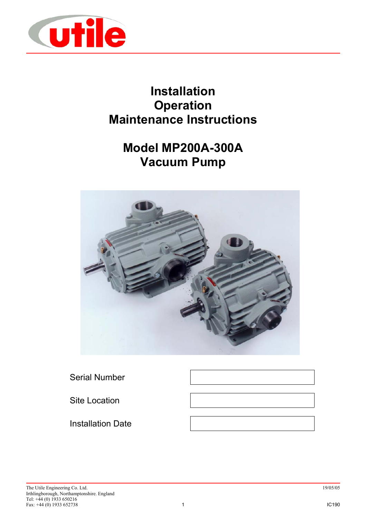

# **Installation Operation Maintenance Instructions**

# **Model MP200A-300A Vacuum Pump**



Serial Number

Site Location

Installation Date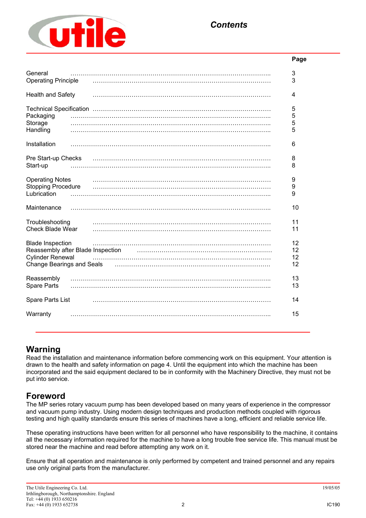

# **Page** General …………………………………………………………………………………….. 3 Operating Principle …………………………………………………………………………… 3 Health and Safety …………………………………………………………………………… 4 Technical Specification …………………………………………………………………………… 5 Packaging …………………………………………………………………………………….. 5 Storage …………………………………………………………………………………….. 5 Handling …………………………………………………………………………………….. 5 Installation …………………………………………………………………………………….. 6 Pre Start-up Checks …………………………………………………………………………… 8 Start-up …………………………………………………………………………………….. 8 Operating Notes …………………………………………………………………………… 9 Stopping Procedure …………………………………………………………………………… 9 Lubrication …………………………………………………………………………………….. 9 Maintenance …………………………………………………………………………………….. 10 Troubleshooting …………………………………………………………………………… 11 Check Blade Wear …………………………………………………………………………… 11 Blade Inspection …………………………………………………………………………… 12 Reassembly after Blade Inspection manufactured methods and the settlem of the settlem of the Reassembly after  $12$ Cylinder Renewal …………………………………………………………………………… 12 Change Bearings and Seals …………………………………………………………………. 12 Reassembly …………………………………………………………………………………….. 13 Spare Parts …………………………………………………………………………………….. 13 Spare Parts List …………………………………………………………………………… 14 Warranty …………………………………………………………………………………….. 15

# **Warning**

Read the installation and maintenance information before commencing work on this equipment. Your attention is drawn to the health and safety information on page 4. Until the equipment into which the machine has been incorporated and the said equipment declared to be in conformity with the Machinery Directive, they must not be put into service.

# **Foreword**

The MP series rotary vacuum pump has been developed based on many years of experience in the compressor and vacuum pump industry. Using modern design techniques and production methods coupled with rigorous testing and high quality standards ensure this series of machines have a long, efficient and reliable service life.

These operating instructions have been written for all personnel who have responsibility to the machine, it contains all the necessary information required for the machine to have a long trouble free service life. This manual must be stored near the machine and read before attempting any work on it.

Ensure that all operation and maintenance is only performed by competent and trained personnel and any repairs use only original parts from the manufacturer.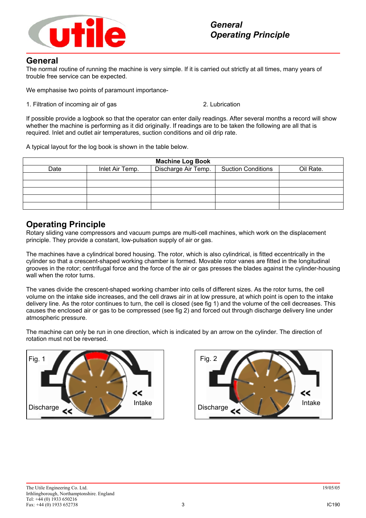

### **General**

The normal routine of running the machine is very simple. If it is carried out strictly at all times, many years of trouble free service can be expected.

We emphasise two points of paramount importance-

1. Filtration of incoming air of gas 2. Lubrication

If possible provide a logbook so that the operator can enter daily readings. After several months a record will show whether the machine is performing as it did originally. If readings are to be taken the following are all that is required. Inlet and outlet air temperatures, suction conditions and oil drip rate.

A typical layout for the log book is shown in the table below.

| <b>Machine Log Book</b> |                 |                     |                           |           |  |  |
|-------------------------|-----------------|---------------------|---------------------------|-----------|--|--|
| Date                    | Inlet Air Temp. | Discharge Air Temp. | <b>Suction Conditions</b> | Oil Rate. |  |  |
|                         |                 |                     |                           |           |  |  |
|                         |                 |                     |                           |           |  |  |
|                         |                 |                     |                           |           |  |  |
|                         |                 |                     |                           |           |  |  |
|                         |                 |                     |                           |           |  |  |

### **Operating Principle**

Rotary sliding vane compressors and vacuum pumps are multi-cell machines, which work on the displacement principle. They provide a constant, low-pulsation supply of air or gas.

The machines have a cylindrical bored housing. The rotor, which is also cylindrical, is fitted eccentrically in the cylinder so that a crescent-shaped working chamber is formed. Movable rotor vanes are fitted in the longitudinal grooves in the rotor; centrifugal force and the force of the air or gas presses the blades against the cylinder-housing wall when the rotor turns.

The vanes divide the crescent-shaped working chamber into cells of different sizes. As the rotor turns, the cell volume on the intake side increases, and the cell draws air in at low pressure, at which point is open to the intake delivery line. As the rotor continues to turn, the cell is closed (see fig 1) and the volume of the cell decreases. This causes the enclosed air or gas to be compressed (see fig 2) and forced out through discharge delivery line under atmospheric pressure.

The machine can only be run in one direction, which is indicated by an arrow on the cylinder. The direction of rotation must not be reversed.



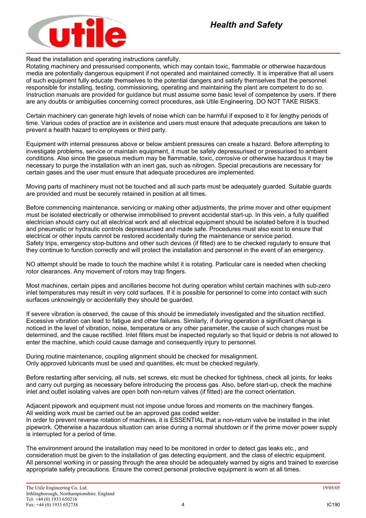

Read the installation and operating instructions carefully.

Rotating machinery and pressurised components, which may contain toxic, flammable or otherwise hazardous media are potentially dangerous equipment if not operated and maintained correctly. It is imperative that all users of such equipment fully educate themselves to the potential dangers and satisfy themselves that the personnel responsible for installing, testing, commissioning, operating and maintaining the plant are competent to do so. Instruction manuals are provided for guidance but must assume some basic level of competence by users. If there are any doubts or ambiguities concerning correct procedures, ask Utile Engineering. DO NOT TAKE RISKS.

Certain machinery can generate high levels of noise which can be harmful if exposed to it for lengthy periods of time. Various codes of practice are in existence and users must ensure that adequate precautions are taken to prevent a health hazard to employees or third party.

Equipment with internal pressures above or below ambient pressures can create a hazard. Before attempting to investigate problems, service or maintain equipment, it must be safely depressurised or pressurised to ambient conditions. Also since the gaseous medium may be flammable, toxic, corrosive or otherwise hazardous it may be necessary to purge the installation with an inert gas, such as nitrogen. Special precautions are necessary for certain gases and the user must ensure that adequate procedures are implemented.

Moving parts of machinery must not be touched and all such parts must be adequately guarded. Suitable guards are provided and must be securely retained in position at all times.

Before commencing maintenance, servicing or making other adjustments, the prime mover and other equipment must be isolated electrically or otherwise immobilised to prevent accidental start-up. In this vein, a fully qualified electrician should carry out all electrical work and all electrical equipment should be isolated before it is touched and pneumatic or hydraulic controls depressurised and made safe. Procedures must also exist to ensure that electrical or other inputs cannot be restored accidentally during the maintenance or service period. Safety trips, emergency stop-buttons and other such devices (if fitted) are to be checked regularly to ensure that they continue to function correctly and will protect the installation and personnel in the event of an emergency.

NO attempt should be made to touch the machine whilst it is rotating. Particular care is needed when checking rotor clearances. Any movement of rotors may trap fingers.

Most machines, certain pipes and ancillaries become hot during operation whilst certain machines with sub-zero inlet temperatures may result in very cold surfaces. If it is possible for personnel to come into contact with such surfaces unknowingly or accidentally they should be guarded.

If severe vibration is observed, the cause of this should be immediately investigated and the situation rectified. Excessive vibration can lead to fatigue and other failures. Similarly, if during operation a significant change is noticed in the level of vibration, noise, temperature or any other parameter, the cause of such changes must be determined, and the cause rectified. Inlet filters must be inspected regularly so that liquid or debris is not allowed to enter the machine, which could cause damage and consequently injury to personnel.

During routine maintenance, coupling alignment should be checked for misalignment. Only approved lubricants must be used and quantities, etc must be checked regularly.

Before restarting after servicing, all nuts, set screws, etc must be checked for tightness, check all joints, for leaks and carry out purging as necessary before introducing the process gas. Also, before start-up, check the machine inlet and outlet isolating valves are open both non-return valves (if fitted) are the correct orientation.

Adjacent pipework and equipment must not impose undue forces and moments on the machinery flanges. All welding work must be carried out be an approved gas coded welder.

In order to prevent reverse rotation of machines, it is ESSENTIAL that a non-return valve be installed in the inlet pipework. Otherwise a hazardous situation can arise during a normal shutdown or if the prime mover power supply is interrupted for a period of time.

The environment around the installation may need to be monitored in order to detect gas leaks etc., and consideration must be given to the installation of gas detecting equipment, and the class of electric equipment. All personnel working in or passing through the area should be adequately warned by signs and trained to exercise appropriate safety precautions. Ensure the correct personal protective equipment is worn at all times.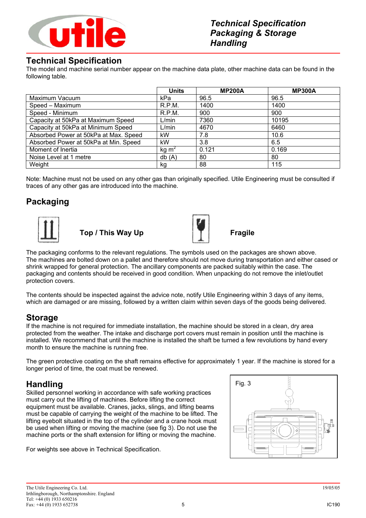

### **Technical Specification**

The model and machine serial number appear on the machine data plate, other machine data can be found in the following table.

|                                       | <b>Units</b>      | <b>MP200A</b> | <b>MP300A</b> |
|---------------------------------------|-------------------|---------------|---------------|
| Maximum Vacuum                        | kPa               | 96.5          | 96.5          |
| Speed - Maximum                       | R.P.M.            | 1400          | 1400          |
| Speed - Minimum                       | R.P.M.            | 900           | 900           |
| Capacity at 50kPa at Maximum Speed    | L/min             | 7360          | 10195         |
| Capacity at 50kPa at Minimum Speed    | L/min             | 4670          | 6460          |
| Absorbed Power at 50kPa at Max. Speed | kW                | 7.8           | 10.6          |
| Absorbed Power at 50kPa at Min. Speed | kW                | 3.8           | 6.5           |
| Moment of Inertia                     | kg m <sup>2</sup> | 0.121         | 0.169         |
| Noise Level at 1 metre                | db(A)             | 80            | 80            |
| Weight                                | kg                | 88            | 115           |

Note: Machine must not be used on any other gas than originally specified. Utile Engineering must be consulted if traces of any other gas are introduced into the machine.

# **Packaging**



**Top / This Way Up Fragile**



The packaging conforms to the relevant regulations. The symbols used on the packages are shown above. The machines are bolted down on a pallet and therefore should not move during transportation and either cased or shrink wrapped for general protection. The ancillary components are packed suitably within the case. The packaging and contents should be received in good condition. When unpacking do not remove the inlet/outlet protection covers.

The contents should be inspected against the advice note, notify Utile Engineering within 3 days of any items, which are damaged or are missing, followed by a written claim within seven days of the goods being delivered.

# **Storage**

If the machine is not required for immediate installation, the machine should be stored in a clean, dry area protected from the weather. The intake and discharge port covers must remain in position until the machine is installed. We recommend that until the machine is installed the shaft be turned a few revolutions by hand every month to ensure the machine is running free.

The green protective coating on the shaft remains effective for approximately 1 year. If the machine is stored for a longer period of time, the coat must be renewed.

# **Handling**

Skilled personnel working in accordance with safe working practices must carry out the lifting of machines. Before lifting the correct equipment must be available. Cranes, jacks, slings, and lifting beams must be capable of carrying the weight of the machine to be lifted. The lifting eyebolt situated in the top of the cylinder and a crane hook must be used when lifting or moving the machine (see fig 3). Do not use the machine ports or the shaft extension for lifting or moving the machine.

For weights see above in Technical Specification.

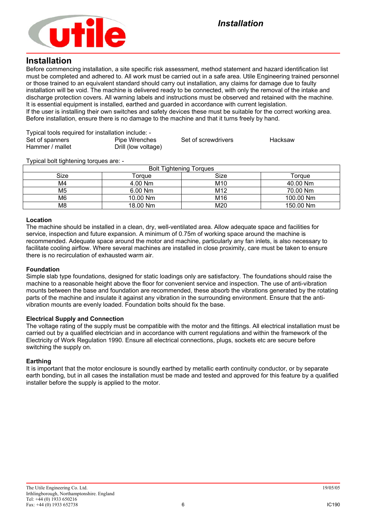

#### **Installation**

Before commencing installation, a site specific risk assessment, method statement and hazard identification list must be completed and adhered to. All work must be carried out in a safe area. Utile Engineering trained personnel or those trained to an equivalent standard should carry out installation, any claims for damage due to faulty installation will be void. The machine is delivered ready to be connected, with only the removal of the intake and discharge protection covers. All warning labels and instructions must be observed and retained with the machine. It is essential equipment is installed, earthed and guarded in accordance with current legislation. If the user is installing their own switches and safety devices these must be suitable for the correct working area. Before installation, ensure there is no damage to the machine and that it turns freely by hand.

| Typical tools required for installation include: - |                     |                     |         |  |  |  |
|----------------------------------------------------|---------------------|---------------------|---------|--|--|--|
| Set of spanners                                    | Pipe Wrenches       | Set of screwdrivers | Hacksaw |  |  |  |
| Hammer / mallet                                    | Drill (low voltage) |                     |         |  |  |  |

Typical bolt tightening torques are: -

| <b>Bolt Tightening Torques</b> |           |                 |           |  |
|--------------------------------|-----------|-----------------|-----------|--|
| Size                           | Toraue    | Size            | Torque    |  |
| M4                             | 4.00 Nm   | M <sub>10</sub> | 40.00 Nm  |  |
| M <sub>5</sub>                 | $6.00$ Nm | M12             | 70.00 Nm  |  |
| M6                             | 10.00 Nm  | M <sub>16</sub> | 100.00 Nm |  |
| M8                             | 18.00 Nm  | M20             | 150.00 Nm |  |

#### **Location**

The machine should be installed in a clean, dry, well-ventilated area. Allow adequate space and facilities for service, inspection and future expansion. A minimum of 0.75m of working space around the machine is recommended. Adequate space around the motor and machine, particularly any fan inlets, is also necessary to facilitate cooling airflow. Where several machines are installed in close proximity, care must be taken to ensure there is no recirculation of exhausted warm air.

#### **Foundation**

Simple slab type foundations, designed for static loadings only are satisfactory. The foundations should raise the machine to a reasonable height above the floor for convenient service and inspection. The use of anti-vibration mounts between the base and foundation are recommended, these absorb the vibrations generated by the rotating parts of the machine and insulate it against any vibration in the surrounding environment. Ensure that the antivibration mounts are evenly loaded. Foundation bolts should fix the base.

#### **Electrical Supply and Connection**

The voltage rating of the supply must be compatible with the motor and the fittings. All electrical installation must be carried out by a qualified electrician and in accordance with current regulations and within the framework of the Electricity of Work Regulation 1990. Ensure all electrical connections, plugs, sockets etc are secure before switching the supply on.

#### **Earthing**

It is important that the motor enclosure is soundly earthed by metallic earth continuity conductor, or by separate earth bonding, but in all cases the installation must be made and tested and approved for this feature by a qualified installer before the supply is applied to the motor.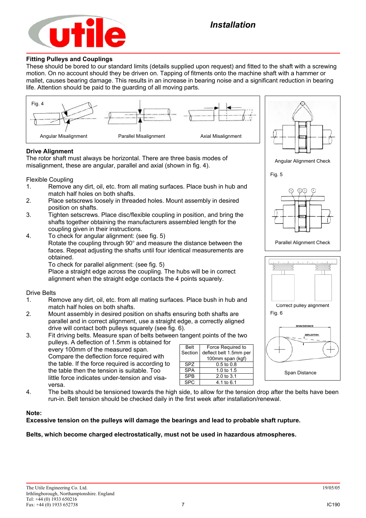

#### **Fitting Pulleys and Couplings**

These should be bored to our standard limits (details supplied upon request) and fitted to the shaft with a screwing motion. On no account should they be driven on. Tapping of fitments onto the machine shaft with a hammer or mallet, causes bearing damage. This results in an increase in bearing noise and a significant reduction in bearing life. Attention should be paid to the guarding of all moving parts.



- 2. Mount assembly in desired position on shafts ensuring both shafts are parallel and in correct alignment, use a straight edge, a correctly aligned drive will contact both pulleys squarely (see fig. 6).
- 3. Fit driving belts. Measure span of belts between tangent points of the two pulleys. A deflection of 1.5mm is obtained for every 100mm of the measured span. Compare the deflection force required with the table. If the force required is according to the table then the tension is suitable. Too little force indicates under-tension and visaversa. Belt Section

| <b>Belt</b> | Force Required to      |
|-------------|------------------------|
| Section     | deflect belt 1.5mm per |
|             | 100mm span (kgf)       |
| SPZ.        | $0.5 \text{ to } 0.8$  |
| <b>SPA</b>  | 1.0 to 1.5             |
| <b>SPR</b>  | 2.0 to 3.1             |
|             | 4.1 to 6.1             |

4. The belts should be tensioned towards the high side, to allow for the tension drop after the belts have been run-in. Belt tension should be checked daily in the first week after installation/renewal.

#### **Note:**

#### **Excessive tension on the pulleys will damage the bearings and lead to probable shaft rupture.**

#### **Belts, which become charged electrostatically, must not be used in hazardous atmospheres.**

Span Distance

**AN DISTANCE DEFLECTION**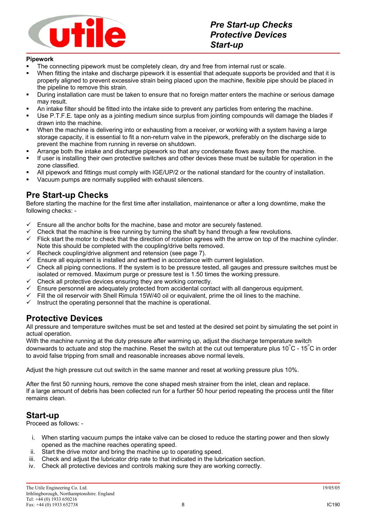

#### **Pipework**

- The connecting pipework must be completely clean, dry and free from internal rust or scale.
- When fitting the intake and discharge pipework it is essential that adequate supports be provided and that it is properly aligned to prevent excessive strain being placed upon the machine, flexible pipe should be placed in the pipeline to remove this strain.
- During installation care must be taken to ensure that no foreign matter enters the machine or serious damage may result.
- An intake filter should be fitted into the intake side to prevent any particles from entering the machine.
- Use P.T.F.E. tape only as a jointing medium since surplus from jointing compounds will damage the blades if drawn into the machine.
- When the machine is delivering into or exhausting from a receiver, or working with a system having a large storage capacity, it is essential to fit a non-return valve in the pipework, preferably on the discharge side to prevent the machine from running in reverse on shutdown.
- **Arrange both the intake and discharge pipework so that any condensate flows away from the machine.**
- If user is installing their own protective switches and other devices these must be suitable for operation in the zone classified.
- All pipework and fittings must comply with IGE/UP/2 or the national standard for the country of installation.
- Vacuum pumps are normally supplied with exhaust silencers.

### **Pre Start-up Checks**

Before starting the machine for the first time after installation, maintenance or after a long downtime, make the following checks: -

- Ensure all the anchor bolts for the machine, base and motor are securely fastened.<br>
Check that the machine is free running by furning the shaft by hand through a few re
- Check that the machine is free running by turning the shaft by hand through a few revolutions.
- $\checkmark$  Flick start the motor to check that the direction of rotation agrees with the arrow on top of the machine cylinder. Note this should be completed with the coupling/drive belts removed.
- $\checkmark$  Recheck coupling/drive alignment and retension (see page 7).
- $\checkmark$  Ensure all equipment is installed and earthed in accordance with current legislation.<br> $\checkmark$  Check all pining connections. If the system is to be pressure tested, all gauges and in
- 9 Check all piping connections. If the system is to be pressure tested, all gauges and pressure switches must be isolated or removed. Maximum purge or pressure test is 1.50 times the working pressure.
- $\checkmark$  Check all protective devices ensuring they are working correctly.
- 9 Ensure personnel are adequately protected from accidental contact with all dangerous equipment.
- $\checkmark$  Fill the oil reservoir with Shell Rimula 15W/40 oil or equivalent, prime the oil lines to the machine.
- Instruct the operating personnel that the machine is operational.

# **Protective Devices**

All pressure and temperature switches must be set and tested at the desired set point by simulating the set point in actual operation.

With the machine running at the duty pressure after warming up, adjust the discharge temperature switch downwards to actuate and stop the machine. Reset the switch at the cut out temperature plus 10 $\degree$ C - 15 $\degree$ C in order to avoid false tripping from small and reasonable increases above normal levels.

Adjust the high pressure cut out switch in the same manner and reset at working pressure plus 10%.

After the first 50 running hours, remove the cone shaped mesh strainer from the inlet, clean and replace. If a large amount of debris has been collected run for a further 50 hour period repeating the process until the filter remains clean.

# **Start-up**

Proceed as follows: -

- i. When starting vacuum pumps the intake valve can be closed to reduce the starting power and then slowly opened as the machine reaches operating speed.
- ii. Start the drive motor and bring the machine up to operating speed.
- iii. Check and adjust the lubricator drip rate to that indicated in the lubrication section.
- iv. Check all protective devices and controls making sure they are working correctly.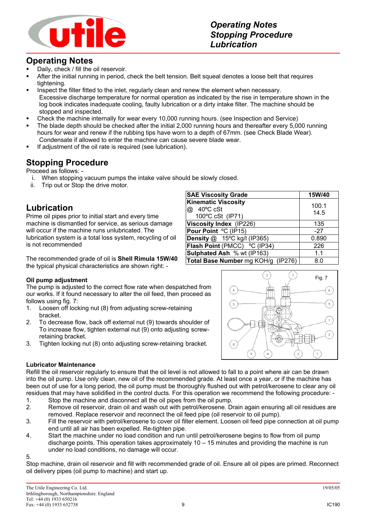

# **Operating Notes**

- Daily, check / fill the oil reservoir.
- After the initial running in period, check the belt tension. Belt squeal denotes a loose belt that requires tightening.
- **Inspect the filter fitted to the inlet, regularly clean and renew the element when necessary.** Excessive discharge temperature for normal operation as indicated by the rise in temperature shown in the log book indicates inadequate cooling, faulty lubrication or a dirty intake filter. The machine should be stopped and inspected.
- Check the machine internally for wear every 10,000 running hours. (see Inspection and Service)
- The blade depth should be checked after the initial 2,000 running hours and thereafter every 5,000 running hours for wear and renew if the rubbing tips have worn to a depth of 67mm. (see Check Blade Wear). Condensate if allowed to enter the machine can cause severe blade wear.
- If adjustment of the oil rate is required (see lubrication).

### **Stopping Procedure**

Proceed as follows: -

- i. When stopping vacuum pumps the intake valve should be slowly closed.
- ii. Trip out or Stop the drive motor.

# **Lubrication**

Prime oil pipes prior to initial start and every time machine is dismantled for service, as serious damage will occur if the machine runs unlubricated. The lubrication system is a total loss system, recycling of oil is not recommended

The recommended grade of oil is **Shell Rimula 15W/40** the typical physical characteristics are shown right: -

#### **Oil pump adjustment**

The pump is adjusted to the correct flow rate when despatched from our works. If it found necessary to alter the oil feed, then proceed as follows using fig. 7:

- 1. Loosen off locking nut (8) from adjusting screw-retaining bracket.
- 2. To decrease flow, back off external nut (9) towards shoulder of To increase flow, tighten external nut (9) onto adjusting screwretaining bracket.
- 3. Tighten locking nut (8) onto adjusting screw-retaining bracket.

#### **SAE Viscosity Grade** 15W/40 **Kinematic Viscosity** @ 40ºC cSt 100ºC cSt (IP71) 100.1 14.5 **Viscosity Index** (IP226) 135 **Pour Point**  $^{\circ}$ C (IP15) -27 **Density** @ 15°C kg/l (IP365) 1 0.890 **Flash Point** (PMCC) ºC (IP34) 226 **Sulphated Ash** % wt (IP163) 1.1 **Total Base Number** mg KOH/g (IP276) | 8.0



#### **Lubricator Maintenance**

Refill the oil reservoir regularly to ensure that the oil level is not allowed to fall to a point where air can be drawn into the oil pump. Use only clean, new oil of the recommended grade. At least once a year, or if the machine has been out of use for a long period, the oil pump must be thoroughly flushed out with petrol/kerosene to clear any oil residues that may have solidified in the control ducts. For this operation we recommend the following procedure: -

- 1. Stop the machine and disconnect all the oil pipes from the oil pump.
- 2. Remove oil reservoir, drain oil and wash out with petrol/kerosene. Drain again ensuring all oil residues are removed. Replace reservoir and reconnect the oil feed pipe (oil reservoir to oil pump).
- 3. Fill the reservoir with petrol/kerosene to cover oil filter element. Loosen oil feed pipe connection at oil pump end until all air has been expelled. Re-tighten pipe.
- 4. Start the machine under no load condition and run until petrol/kerosene begins to flow from oil pump discharge points. This operation takes approximately  $10 - 15$  minutes and providing the machine is run under no load conditions, no damage will occur.

5.

Stop machine, drain oil reservoir and fill with recommended grade of oil. Ensure all oil pipes are primed. Reconnect oil delivery pipes (oil pump to machine) and start up.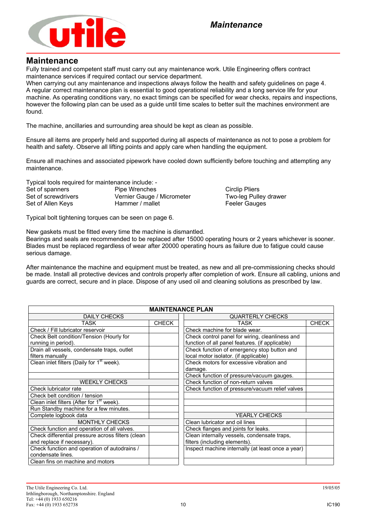

#### **Maintenance**

Fully trained and competent staff must carry out any maintenance work. Utile Engineering offers contract maintenance services if required contact our service department.

When carrying out any maintenance and inspections always follow the health and safety guidelines on page 4. A regular correct maintenance plan is essential to good operational reliability and a long service life for your machine. As operating conditions vary, no exact timings can be specified for wear checks, repairs and inspections, however the following plan can be used as a guide until time scales to better suit the machines environment are found.

The machine, ancillaries and surrounding area should be kept as clean as possible.

Ensure all items are properly held and supported during all aspects of maintenance as not to pose a problem for health and safety. Observe all lifting points and apply care when handling the equipment.

Ensure all machines and associated pipework have cooled down sufficiently before touching and attempting any maintenance.

Typical tools required for maintenance include: -

Set of spanners **Pipe Wrenches** Circlip Pliers Circlip Pliers Set of screwdrivers **Vernier Gauge / Micrometer** Two-leg Pulley drawer Set of Allen Keys **Hammer / mallet** Feeler Gauges

Typical bolt tightening torques can be seen on page 6.

New gaskets must be fitted every time the machine is dismantled.

Bearings and seals are recommended to be replaced after 15000 operating hours or 2 years whichever is sooner. Blades must be replaced regardless of wear after 20000 operating hours as failure due to fatigue could cause serious damage.

After maintenance the machine and equipment must be treated, as new and all pre-commissioning checks should be made. Install all protective devices and controls properly after completion of work. Ensure all cabling, unions and guards are correct, secure and in place. Dispose of any used oil and cleaning solutions as prescribed by law.

| <b>MAINTENANCE PLAN</b>                               |              |                                                   |              |  |  |
|-------------------------------------------------------|--------------|---------------------------------------------------|--------------|--|--|
| <b>DAILY CHECKS</b>                                   |              | <b>QUARTERLY CHECKS</b>                           |              |  |  |
| TASK                                                  | <b>CHECK</b> | TASK                                              | <b>CHECK</b> |  |  |
| Check / Fill lubricator reservoir                     |              | Check machine for blade wear.                     |              |  |  |
| Check Belt condition/Tension (Hourly for              |              | Check control panel for wiring, cleanliness and   |              |  |  |
| running in period).                                   |              | function of all panel features. (if applicable)   |              |  |  |
| Drain all vessels, condensate traps, outlet           |              | Check function of emergency stop button and       |              |  |  |
| filters manually                                      |              | local motor isolator. (if applicable)             |              |  |  |
| Clean inlet filters (Daily for 1 <sup>st</sup> week). |              | Check motors for excessive vibration and          |              |  |  |
|                                                       |              | damage.                                           |              |  |  |
|                                                       |              | Check function of pressure/vacuum gauges.         |              |  |  |
| <b>WEEKLY CHECKS</b>                                  |              | Check function of non-return valves               |              |  |  |
| Check lubricator rate                                 |              | Check function of pressure/vacuum relief valves   |              |  |  |
| Check belt condition / tension                        |              |                                                   |              |  |  |
| Clean inlet filters (After for 1 <sup>st</sup> week). |              |                                                   |              |  |  |
| Run Standby machine for a few minutes.                |              |                                                   |              |  |  |
| Complete logbook data                                 |              | <b>YEARLY CHECKS</b>                              |              |  |  |
| <b>MONTHLY CHECKS</b>                                 |              | Clean lubricator and oil lines                    |              |  |  |
| Check function and operation of all valves.           |              | Check flanges and joints for leaks.               |              |  |  |
| Check differential pressure across filters (clean     |              | Clean internally vessels, condensate traps,       |              |  |  |
| and replace if necessary).                            |              | filters (including elements).                     |              |  |  |
| Check function and operation of autodrains /          |              | Inspect machine internally (at least once a year) |              |  |  |
| condensate lines.                                     |              |                                                   |              |  |  |
| Clean fins on machine and motors                      |              |                                                   |              |  |  |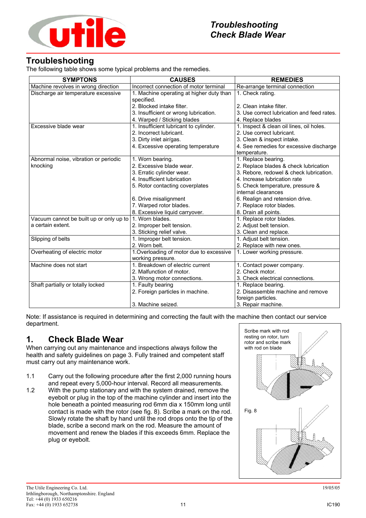

# **Troubleshooting**

The following table shows some typical problems and the remedies.

| <b>SYMPTONS</b>                         | <b>CAUSES</b>                                                 | <b>REMEDIES</b>                            |
|-----------------------------------------|---------------------------------------------------------------|--------------------------------------------|
| Machine revolves in wrong direction     | Incorrect connection of motor terminal                        | Re-arrange terminal connection             |
| Discharge air temperature excessive     | 1. Machine operating at higher duty than<br>specified.        | 1. Check rating.                           |
|                                         | 2. Blocked intake filter.                                     | 2. Clean intake filter.                    |
|                                         | 3. Insufficient or wrong lubrication.                         | 3. Use correct lubrication and feed rates. |
|                                         | 4. Warped / Sticking blades                                   | 4. Replace blades                          |
| Excessive blade wear                    | 1. Insufficient lubricant to cylinder.                        | 1. Inspect & clean oil lines, oil holes.   |
|                                         | 2. Incorrect lubricant.                                       | 2. Use correct lubricant.                  |
|                                         | 3. Dirty inlet air/gas.                                       | 3. Clean & inspect intake.                 |
|                                         | 4. Excessive operating temperature                            | 4. See remedies for excessive discharge    |
|                                         |                                                               | temperature.                               |
| Abnormal noise, vibration or periodic   | 1. Worn bearing.                                              | 1. Replace bearing.                        |
| knocking                                | 2. Excessive blade wear.                                      | 2. Replace blades & check lubrication      |
|                                         | 3. Erratic cylinder wear.                                     | 3. Rebore, redowel & check lubrication.    |
|                                         | 4. Insufficient lubrication                                   | 4. Increase lubrication rate               |
|                                         | 5. Rotor contacting coverplates                               | 5. Check temperature, pressure &           |
|                                         |                                                               | internal clearances                        |
|                                         | 6. Drive misalignment                                         | 6. Realign and retension drive.            |
|                                         | 7. Warped rotor blades.                                       | 7. Replace rotor blades.                   |
|                                         | 8. Excessive liquid carryover.                                | 8. Drain all points.                       |
| Vacuum cannot be built up or only up to | 1. Worn blades.                                               | 1. Replace rotor blades.                   |
| a certain extent.                       | 2. Improper belt tension.                                     | 2. Adjust belt tension.                    |
|                                         | 3. Sticking relief valve.                                     | 3. Clean and replace.                      |
| Slipping of belts                       | 1. Improper belt tension.                                     | 1. Adjust belt tension.                    |
|                                         | 2. Worn belt.                                                 | 2. Replace with new ones.                  |
| Overheating of electric motor           | 1. Overloading of motor due to excessive<br>working pressure. | 1. Lower working pressure.                 |
| Machine does not start                  | 1. Breakdown of electric current                              | 1. Contact power company.                  |
|                                         | 2. Malfunction of motor.                                      | 2. Check motor.                            |
|                                         | 3. Wrong motor connections.                                   | 3. Check electrical connections.           |
| Shaft partially or totally locked       | 1. Faulty bearing                                             | 1. Replace bearing.                        |
|                                         | 2. Foreign particles in machine.                              | 2. Disassemble machine and remove          |
|                                         |                                                               | foreign particles.                         |
|                                         | 3. Machine seized.                                            | 3. Repair machine.                         |

Note: If assistance is required in determining and correcting the fault with the machine then contact our service department.

# **1. Check Blade Wear**

When carrying out any maintenance and inspections always follow the health and safety guidelines on page 3. Fully trained and competent staff must carry out any maintenance work.

- 1.1 Carry out the following procedure after the first 2,000 running hours and repeat every 5,000-hour interval. Record all measurements.
- 1.2 With the pump stationary and with the system drained, remove the eyebolt or plug in the top of the machine cylinder and insert into the hole beneath a pointed measuring rod 6mm dia x 150mm long until contact is made with the rotor (see fig. 8). Scribe a mark on the rod. Slowly rotate the shaft by hand until the rod drops onto the tip of the blade, scribe a second mark on the rod. Measure the amount of movement and renew the blades if this exceeds 6mm. Replace the plug or eyebolt.

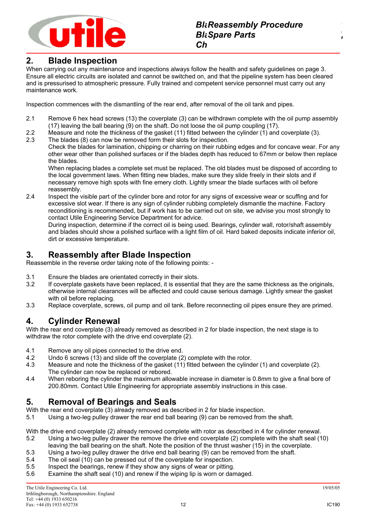

### **2. Blade Inspection**

When carrying out any maintenance and inspections always follow the health and safety guidelines on page 3. Ensure all electric circuits are isolated and cannot be switched on, and that the pipeline system has been cleared and is pressurised to atmospheric pressure. Fully trained and competent service personnel must carry out any maintenance work.

Inspection commences with the dismantling of the rear end, after removal of the oil tank and pipes.

- 2.1 Remove 6 hex head screws (13) the coverplate (3) can be withdrawn complete with the oil pump assembly (17) leaving the ball bearing (9) on the shaft. Do not loose the oil pump coupling (17).
- 2.2 Measure and note the thickness of the gasket (11) fitted between the cylinder (1) and coverplate (3).
- 2.3 The blades (8) can now be removed form their slots for inspection.

Check the blades for lamination, chipping or charring on their rubbing edges and for concave wear. For any other wear other than polished surfaces or if the blades depth has reduced to 67mm or below then replace the blades.

When replacing blades a complete set must be replaced. The old blades must be disposed of according to the local government laws. When fitting new blades, make sure they slide freely in their slots and if necessary remove high spots with fine emery cloth. Lightly smear the blade surfaces with oil before reassembly.

2.4 Inspect the visible part of the cylinder bore and rotor for any signs of excessive wear or scuffing and for excessive slot wear. If there is any sign of cylinder rubbing completely dismantle the machine. Factory reconditioning is recommended, but if work has to be carried out on site, we advise you most strongly to contact Utile Engineering Service Department for advice.

During inspection, determine if the correct oil is being used. Bearings, cylinder wall, rotor/shaft assembly and blades should show a polished surface with a light film of oil. Hard baked deposits indicate inferior oil, dirt or excessive temperature.

### **3. Reassembly after Blade Inspection**

Reassemble in the reverse order taking note of the following points: -

- 3.1 Ensure the blades are orientated correctly in their slots.
- 3.2 If coverplate gaskets have been replaced, it is essential that they are the same thickness as the originals, otherwise internal clearances will be affected and could cause serious damage. Lightly smear the gasket with oil before replacing.
- 3.3 Replace coverplate, screws, oil pump and oil tank. Before reconnecting oil pipes ensure they are primed.

# **4. Cylinder Renewal**

With the rear end coverplate (3) already removed as described in 2 for blade inspection, the next stage is to withdraw the rotor complete with the drive end coverplate (2).

- 4.1 Remove any oil pipes connected to the drive end.
- 4.2 Undo 6 screws (13) and slide off the coverplate (2) complete with the rotor.
- 4.3 Measure and note the thickness of the gasket (11) fitted between the cylinder (1) and coverplate (2). The cylinder can now be replaced or rebored.
- 4.4 When reboring the cylinder the maximum allowable increase in diameter is 0.8mm to give a final bore of 200.80mm. Contact Utile Engineering for appropriate assembly instructions in this case.

# **5. Removal of Bearings and Seals**

With the rear end coverplate (3) already removed as described in 2 for blade inspection.

5.1 Using a two-leg pulley drawer the rear end ball bearing (9) can be removed from the shaft.

With the drive end coverplate (2) already removed complete with rotor as described in 4 for cylinder renewal.

- 5.2 Using a two-leg pulley drawer the remove the drive end coverplate (2) complete with the shaft seal (10)
- leaving the ball bearing on the shaft. Note the position of the thrust washer (15) in the coverplate. 5.3 Using a two-leg pulley drawer the drive end ball bearing (9) can be removed from the shaft.
- 5.4 The oil seal (10) can be pressed out of the coverplate for inspection.
- 
- 5.5 Inspect the bearings, renew if they show any signs of wear or pitting.<br>5.6 Examine the shaft seal (10) and renew if the wiping lip is worn or dan Examine the shaft seal (10) and renew if the wiping lip is worn or damaged.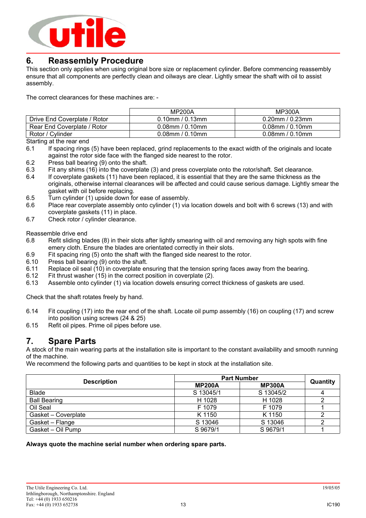

### **6. Reassembly Procedure**

This section only applies when using original bore size or replacement cylinder. Before commencing reassembly ensure that all components are perfectly clean and oilways are clear. Lightly smear the shaft with oil to assist assembly.

The correct clearances for these machines are: -

|                              | <b>MP200A</b>         | MP300A                |  |
|------------------------------|-----------------------|-----------------------|--|
| Drive End Coverplate / Rotor | $0.10$ mm / $0.13$ mm | $0.20$ mm / $0.23$ mm |  |
| Rear End Coverplate / Rotor  | $0.08$ mm / $0.10$ mm | $0.08$ mm / $0.10$ mm |  |
| Rotor / Cylinder             | $0.08$ mm / $0.10$ mm | $0.08$ mm / $0.10$ mm |  |

Starting at the rear end

- 6.1 If spacing rings (5) have been replaced, grind replacements to the exact width of the originals and locate against the rotor side face with the flanged side nearest to the rotor.
- 6.2 Press ball bearing (9) onto the shaft.
- 6.3 Fit any shims (16) into the coverplate (3) and press coverplate onto the rotor/shaft. Set clearance.
- 6.4 If coverplate gaskets (11) have been replaced, it is essential that they are the same thickness as the originals, otherwise internal clearances will be affected and could cause serious damage. Lightly smear the gasket with oil before replacing.
- 6.5 Turn cylinder (1) upside down for ease of assembly.
- 6.6 Place rear coverplate assembly onto cylinder (1) via location dowels and bolt with 6 screws (13) and with coverplate gaskets (11) in place.
- 6.7 Check rotor / cylinder clearance.

Reassemble drive end

- 6.8 Refit sliding blades (8) in their slots after lightly smearing with oil and removing any high spots with fine emery cloth. Ensure the blades are orientated correctly in their slots.
- 6.9 Fit spacing ring (5) onto the shaft with the flanged side nearest to the rotor.
- 6.10 Press ball bearing (9) onto the shaft.
- 6.11 Replace oil seal (10) in coverplate ensuring that the tension spring faces away from the bearing.
- 6.12 Fit thrust washer (15) in the correct position in coverplate (2).
- 6.13 Assemble onto cylinder (1) via location dowels ensuring correct thickness of gaskets are used.

Check that the shaft rotates freely by hand.

- 6.14 Fit coupling (17) into the rear end of the shaft. Locate oil pump assembly (16) on coupling (17) and screw into position using screws (24 & 25)
- 6.15 Refit oil pipes. Prime oil pipes before use.

### **7. Spare Parts**

A stock of the main wearing parts at the installation site is important to the constant availability and smooth running of the machine.

We recommend the following parts and quantities to be kept in stock at the installation site.

|                     | <b>Part Number</b> |               |          |
|---------------------|--------------------|---------------|----------|
| <b>Description</b>  | <b>MP200A</b>      | <b>MP300A</b> | Quantity |
| <b>Blade</b>        | S 13045/1          | S 13045/2     | 4        |
| <b>Ball Bearing</b> | H 1028             | H 1028        |          |
| Oil Seal            | F 1079             | F 1079        |          |
| Gasket - Coverplate | K 1150             | K 1150        | ◠        |
| Gasket - Flange     | S 13046            | S 13046       |          |
| Gasket - Oil Pump   | S 9679/1           | S 9679/1      |          |

**Always quote the machine serial number when ordering spare parts.**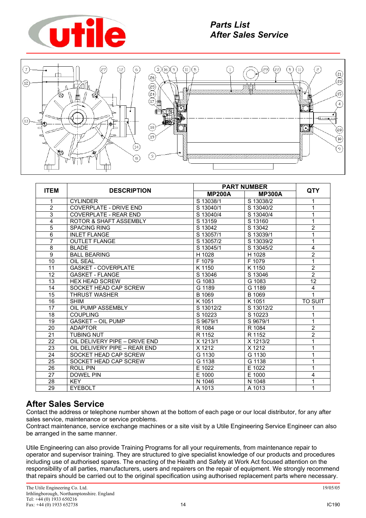



|                |                                   |               | <b>PART NUMBER</b> |                 |  |
|----------------|-----------------------------------|---------------|--------------------|-----------------|--|
| <b>ITEM</b>    | <b>DESCRIPTION</b>                | <b>MP200A</b> | <b>MP300A</b>      | <b>QTY</b>      |  |
| 1              | <b>CYLINDER</b>                   | S 13038/1     | S 13038/2          | 1               |  |
| $\overline{2}$ | <b>COVERPLATE - DRIVE END</b>     | S 13040/1     | S 13040/2          | 1               |  |
| $\overline{3}$ | <b>COVERPLATE - REAR END</b>      | S 13040/4     | S 13040/4          | 1               |  |
| 4              | <b>ROTOR &amp; SHAFT ASSEMBLY</b> | S 13159       | S 13160            | 1               |  |
| $\overline{5}$ | <b>SPACING RING</b>               | S 13042       | S 13042            | $\overline{2}$  |  |
| $\overline{6}$ | <b>INLET FLANGE</b>               | S 13057/1     | S 13039/1          | 1               |  |
| $\overline{7}$ | <b>OUTLET FLANGE</b>              | S 13057/2     | S 13039/2          | 1               |  |
| 8              | <b>BLADE</b>                      | S 13045/1     | S 13045/2          | 4               |  |
| $\overline{9}$ | <b>BALL BEARING</b>               | H 1028        | H 1028             | $\overline{2}$  |  |
| 10             | <b>OIL SEAL</b>                   | F 1079        | F 1079             | 1               |  |
| 11             | <b>GASKET - COVERPLATE</b>        | K 1150        | K 1150             | $\overline{2}$  |  |
| 12             | <b>GASKET - FLANGE</b>            | S 13046       | S 13046            | $\overline{2}$  |  |
| 13             | <b>HEX HEAD SCREW</b>             | G 1083        | G 1083             | $\overline{12}$ |  |
| 14             | SOCKET HEAD CAP SCREW             | G 1189        | G 1189             | $\overline{4}$  |  |
| 15             | <b>THRUST WASHER</b>              | B 1069        | B 1069             | 1               |  |
| 16             | <b>SHIM</b>                       | K 1051        | K 1051             | <b>TO SUIT</b>  |  |
| 17             | OIL PUMP ASSEMBLY                 | S 13012/2     | S 13012/2          | 1               |  |
| 18             | <b>COUPLING</b>                   | S 10223       | S 10223            | 1               |  |
| 19             | <b>GASKET - OIL PUMP</b>          | S 9679/1      | S 9679/1           | 1               |  |
| 20             | <b>ADAPTOR</b>                    | R 1084        | R 1084             | $\overline{2}$  |  |
| 21             | <b>TUBING NUT</b>                 | R 1152        | R 1152             | $\overline{2}$  |  |
| 22             | OIL DELIVERY PIPE - DRIVE END     | X 1213/1      | X 1213/2           | 1               |  |
| 23             | OIL DELIVERY PIPE - REAR END      | X 1212        | X 1212             | 1               |  |
| 24             | SOCKET HEAD CAP SCREW             | G 1130        | G 1130             | 1               |  |
| 25             | SOCKET HEAD CAP SCREW             | G 1138        | G 1138             | 1               |  |
| 26             | <b>ROLL PIN</b>                   | E 1022        | E 1022             | 1               |  |
| 27             | <b>DOWEL PIN</b>                  | E 1000        | E 1000             | 4               |  |
| 28             | <b>KEY</b>                        | N 1046        | N 1048             | $\mathbf{1}$    |  |
| 29             | <b>EYEBOLT</b>                    | A 1013        | A 1013             | 1               |  |

# **After Sales Service**

Contact the address or telephone number shown at the bottom of each page or our local distributor, for any after sales service, maintenance or service problems.

Contract maintenance, service exchange machines or a site visit by a Utile Engineering Service Engineer can also be arranged in the same manner.

Utile Engineering can also provide Training Programs for all your requirements, from maintenance repair to operator and supervisor training. They are structured to give specialist knowledge of our products and procedures including use of authorised spares. The enacting of the Health and Safety at Work Act focused attention on the responsibility of all parties, manufacturers, users and repairers on the repair of equipment. We strongly recommend that repairs should be carried out to the original specification using authorised replacement parts where necessary.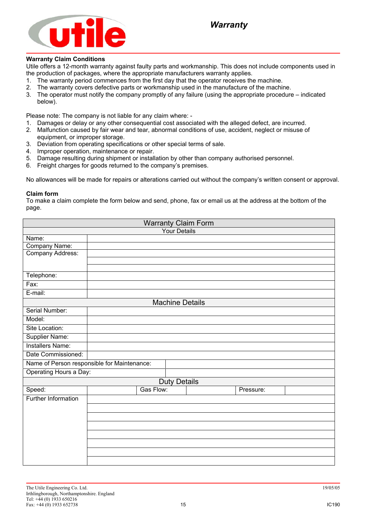

#### **Warranty Claim Conditions**

Utile offers a 12-month warranty against faulty parts and workmanship. This does not include components used in the production of packages, where the appropriate manufacturers warranty applies.

- 1. The warranty period commences from the first day that the operator receives the machine.
- 2. The warranty covers defective parts or workmanship used in the manufacture of the machine.
- 3. The operator must notify the company promptly of any failure (using the appropriate procedure indicated below).

Please note: The company is not liable for any claim where: -

- 1. Damages or delay or any other consequential cost associated with the alleged defect, are incurred.
- 2. Malfunction caused by fair wear and tear, abnormal conditions of use, accident, neglect or misuse of equipment, or improper storage.
- 3. Deviation from operating specifications or other special terms of sale.
- 4. Improper operation, maintenance or repair.
- 5. Damage resulting during shipment or installation by other than company authorised personnel.
- 6. Freight charges for goods returned to the company's premises.

No allowances will be made for repairs or alterations carried out without the company's written consent or approval.

#### **Claim form**

To make a claim complete the form below and send, phone, fax or email us at the address at the bottom of the page.

| <b>Warranty Claim Form</b>                  |  |           |                        |  |           |  |
|---------------------------------------------|--|-----------|------------------------|--|-----------|--|
| <b>Your Details</b>                         |  |           |                        |  |           |  |
| Name:                                       |  |           |                        |  |           |  |
| Company Name:                               |  |           |                        |  |           |  |
| Company Address:                            |  |           |                        |  |           |  |
|                                             |  |           |                        |  |           |  |
| Telephone:                                  |  |           |                        |  |           |  |
| Fax:                                        |  |           |                        |  |           |  |
| E-mail:                                     |  |           |                        |  |           |  |
|                                             |  |           | <b>Machine Details</b> |  |           |  |
| Serial Number:                              |  |           |                        |  |           |  |
| Model:                                      |  |           |                        |  |           |  |
| Site Location:                              |  |           |                        |  |           |  |
| Supplier Name:                              |  |           |                        |  |           |  |
| <b>Installers Name:</b>                     |  |           |                        |  |           |  |
| Date Commissioned:                          |  |           |                        |  |           |  |
| Name of Person responsible for Maintenance: |  |           |                        |  |           |  |
| Operating Hours a Day:                      |  |           |                        |  |           |  |
|                                             |  |           | <b>Duty Details</b>    |  |           |  |
| Speed:                                      |  | Gas Flow: |                        |  | Pressure: |  |
| <b>Further Information</b>                  |  |           |                        |  |           |  |
|                                             |  |           |                        |  |           |  |
|                                             |  |           |                        |  |           |  |
|                                             |  |           |                        |  |           |  |
|                                             |  |           |                        |  |           |  |
|                                             |  |           |                        |  |           |  |
|                                             |  |           |                        |  |           |  |
|                                             |  |           |                        |  |           |  |